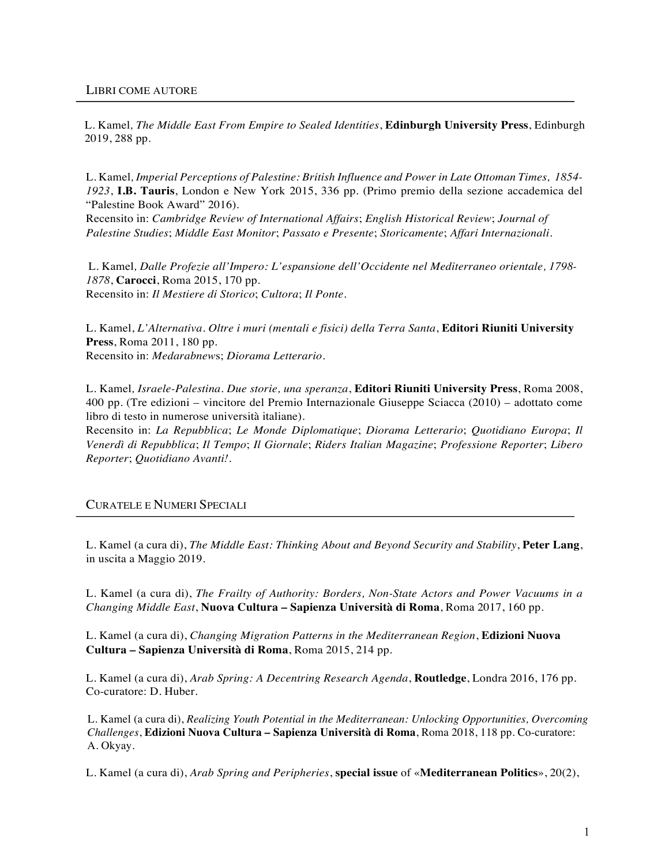L. Kamel*, The Middle East From Empire to Sealed Identities*, **Edinburgh University Press**, Edinburgh 2019, 288 pp.

L. Kamel*, Imperial Perceptions of Palestine: British Influence and Power in Late Ottoman Times, 1854- 1923*, **I.B. Tauris**, London e New York 2015, 336 pp. (Primo premio della sezione accademica del "Palestine Book Award" 2016).

Recensito in: *Cambridge Review of International Affairs*; *English Historical Review*; *Journal of Palestine Studies*; *Middle East Monitor*; *Passato e Presente*; *Storicamente*; *Affari Internazionali*.

L. Kamel*, Dalle Profezie all'Impero: L'espansione dell'Occidente nel Mediterraneo orientale, 1798- 1878*, **Carocci**, Roma 2015, 170 pp. Recensito in: *Il Mestiere di Storico*; *Cultora*; *Il Ponte*.

L. Kamel, *L'Alternativa. Oltre i muri (mentali e fisici) della Terra Santa*, **Editori Riuniti University Press**, Roma 2011, 180 pp. Recensito in: *Medarabnew*s; *Diorama Letterario.*

L. Kamel*, Israele-Palestina. Due storie, una speranza*, **Editori Riuniti University Press**, Roma 2008, 400 pp. (Tre edizioni – vincitore del Premio Internazionale Giuseppe Sciacca (2010) – adottato come libro di testo in numerose università italiane).

Recensito in: *La Repubblica*; *Le Monde Diplomatique*; *Diorama Letterario*; *Quotidiano Europa*; *Il Venerdì di Repubblica*; *Il Tempo*; *Il Giornale*; *Riders Italian Magazine*; *Professione Reporter*; *Libero Reporter*; *Quotidiano Avanti!*.

CURATELE E NUMERI SPECIALI

L. Kamel (a cura di), *The Middle East: Thinking About and Beyond Security and Stability*, **Peter Lang**, in uscita a Maggio 2019.

L. Kamel (a cura di), *The Frailty of Authority: Borders, Non-State Actors and Power Vacuums in a Changing Middle East*, **Nuova Cultura – Sapienza Università di Roma**, Roma 2017, 160 pp.

L. Kamel (a cura di), *Changing Migration Patterns in the Mediterranean Region*, **Edizioni Nuova Cultura – Sapienza Università di Roma**, Roma 2015, 214 pp.

L. Kamel (a cura di), *Arab Spring: A Decentring Research Agenda*, **Routledge**, Londra 2016, 176 pp. Co-curatore: D. Huber.

 L. Kamel (a cura di), *Realizing Youth Potential in the Mediterranean: Unlocking Opportunities, Overcoming Challenges*, **Edizioni Nuova Cultura – Sapienza Università di Roma**, Roma 2018, 118 pp. Co-curatore: A. Okyay.

L. Kamel (a cura di), *Arab Spring and Peripheries*, **special issue** of «**Mediterranean Politics**», 20(2),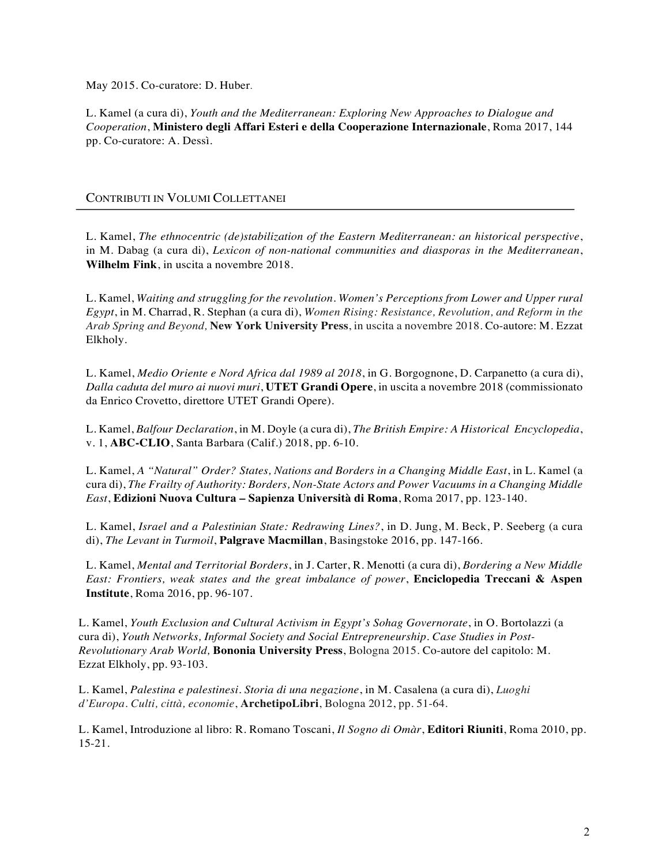May 2015. Co-curatore: D. Huber.

L. Kamel (a cura di), *Youth and the Mediterranean: Exploring New Approaches to Dialogue and Cooperation*, **Ministero degli Affari Esteri e della Cooperazione Internazionale**, Roma 2017, 144 pp. Co-curatore: A. Dessì.

## CONTRIBUTI IN VOLUMI COLLETTANEI

L. Kamel, *The ethnocentric (de)stabilization of the Eastern Mediterranean: an historical perspective*, in M. Dabag (a cura di), *Lexicon of non-national communities and diasporas in the Mediterranean*, **Wilhelm Fink**, in uscita a novembre 2018.

L. Kamel, *Waiting and struggling for the revolution. Women's Perceptions from Lower and Upper rural Egypt*, in M. Charrad, R. Stephan (a cura di), *Women Rising: Resistance, Revolution, and Reform in the Arab Spring and Beyond,* **New York University Press**, in uscita a novembre 2018. Co-autore: M. Ezzat Elkholy.

L. Kamel, *Medio Oriente e Nord Africa dal 1989 al 2018*, in G. Borgognone, D. Carpanetto (a cura di), *Dalla caduta del muro ai nuovi muri*, **UTET Grandi Opere**, in uscita a novembre 2018 (commissionato da Enrico Crovetto, direttore UTET Grandi Opere).

L. Kamel, *Balfour Declaration*, in M. Doyle (a cura di), *The British Empire: A Historical Encyclopedia*, v. 1, **ABC-CLIO**, Santa Barbara (Calif.) 2018, pp. 6-10.

L. Kamel, *A "Natural" Order? States, Nations and Borders in a Changing Middle East*, in L. Kamel (a cura di), *The Frailty of Authority: Borders, Non-State Actors and Power Vacuums in a Changing Middle East*, **Edizioni Nuova Cultura – Sapienza Università di Roma**, Roma 2017, pp. 123-140.

L. Kamel, *Israel and a Palestinian State: Redrawing Lines?*, in D. Jung, M. Beck, P. Seeberg (a cura di), *The Levant in Turmoil*, **Palgrave Macmillan**, Basingstoke 2016, pp. 147-166.

L. Kamel, *Mental and Territorial Borders*, in J. Carter, R. Menotti (a cura di), *Bordering a New Middle East: Frontiers, weak states and the great imbalance of power*, **Enciclopedia Treccani & Aspen Institute**, Roma 2016, pp. 96-107.

L. Kamel, *Youth Exclusion and Cultural Activism in Egypt's Sohag Governorate*, in O. Bortolazzi (a cura di), *Youth Networks, Informal Society and Social Entrepreneurship. Case Studies in Post-Revolutionary Arab World,* **Bononia University Press**, Bologna 2015. Co-autore del capitolo: M. Ezzat Elkholy, pp. 93-103.

L. Kamel, *Palestina e palestinesi. Storia di una negazione*, in M. Casalena (a cura di), *Luoghi d'Europa. Culti, città, economie*, **ArchetipoLibri**, Bologna 2012, pp. 51-64.

L. Kamel, Introduzione al libro: R. Romano Toscani, *Il Sogno di Omàr*, **Editori Riuniti**, Roma 2010, pp. 15-21.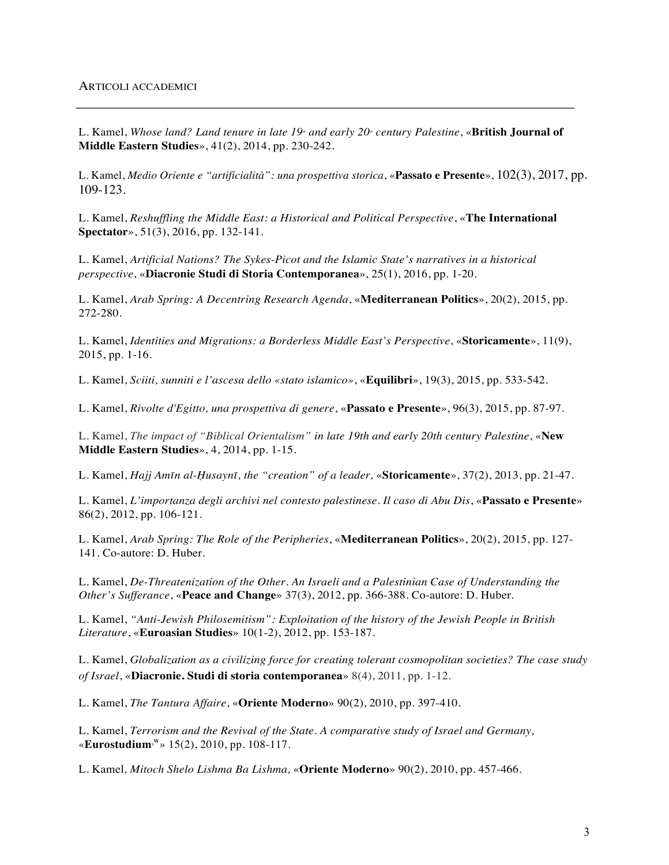L. Kamel, *Whose land? Land tenure in late 19<sup>th</sup> and early 20<sup>th</sup> century Palestine, «British Journal of* **Middle Eastern Studies**», 41(2), 2014, pp. 230-242.

L. Kamel, *Medio Oriente e "artificialità": una prospettiva storica*, «**Passato e Presente**», 102(3), 2017, pp. 109-123.

L. Kamel, *Reshuffling the Middle East: a Historical and Political Perspective*, «**The International Spectator**», 51(3), 2016, pp. 132-141.

L. Kamel, *Artificial Nations? The Sykes-Picot and the Islamic State's narratives in a historical perspective*, «**Diacronie Studi di Storia Contemporanea**», 25(1), 2016, pp. 1-20.

L. Kamel, *Arab Spring: A Decentring Research Agenda*, «**Mediterranean Politics**», 20(2), 2015, pp. 272-280.

L. Kamel, *Identities and Migrations: a Borderless Middle East's Perspective*, «**Storicamente**», 11(9), 2015, pp. 1-16.

L. Kamel, *Sciiti, sunniti e l'ascesa dello «stato islamico»*, «**Equilibri**», 19(3), 2015, pp. 533-542.

L. Kamel, *Rivolte d'Egitto, una prospettiva di genere*, «**Passato e Presente**», 96(3), 2015, pp. 87-97.

L. Kamel, *The impact of "Biblical Orientalism" in late 19th and early 20th century Palestine*, «**New Middle Eastern Studies**», 4, 2014, pp. 1-15.

L. Kamel, *Hajj Amīn al-Ḥusaynī, the "creation" of a leader,* «**Storicamente**», 37(2), 2013, pp. 21-47.

L. Kamel, *L'importanza degli archivi nel contesto palestinese. Il caso di Abu Dis*, «**Passato e Presente**» 86(2), 2012, pp. 106-121.

L. Kamel, *Arab Spring: The Role of the Peripheries*, «**Mediterranean Politics**», 20(2), 2015, pp. 127- 141. Co-autore: D. Huber.

L. Kamel, *De-Threatenization of the Other. An Israeli and a Palestinian Case of Understanding the Other's Sufferance*, «**Peace and Change**» 37(3), 2012, pp. 366-388. Co-autore: D. Huber.

L. Kamel, *"Anti-Jewish Philosemitism": Exploitation of the history of the Jewish People in British Literature*, «**Euroasian Studies**» 10(1-2), 2012, pp. 153-187.

L. Kamel, *Globalization as a civilizing force for creating tolerant cosmopolitan societies? The case study of Israel*, «**Diacronie. Studi di storia contemporanea**» 8(4), 2011, pp. 1-12.

L. Kamel, *The Tantura Affaire*, «**Oriente Moderno**» 90(2), 2010, pp. 397-410.

L. Kamel, *Terrorism and the Revival of the State. A comparative study of Israel and Germany,* «**Eurostudium3 W** » 15(2), 2010, pp. 108-117.

L. Kamel*, Mitoch Shelo Lishma Ba Lishma,* «**Oriente Moderno**» 90(2), 2010, pp. 457-466.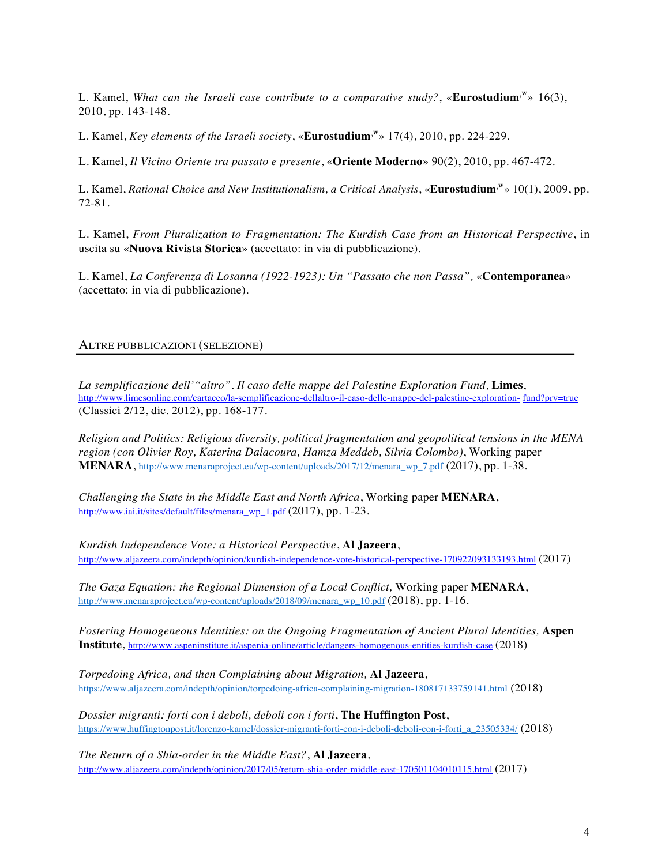L. Kamel, What can the Israeli case contribute to a comparative study?, «**Eurostudium**<sup>,w</sup>» 16(3), 2010, pp. 143-148.

L. Kamel, *Key elements of the Israeli society*, «**Eurostudium**<sup>,w</sup>» 17(4), 2010, pp. 224-229.

L. Kamel, *Il Vicino Oriente tra passato e presente*, «**Oriente Moderno**» 90(2), 2010, pp. 467-472.

L. Kamel, *Rational Choice and New Institutionalism, a Critical Analysis, «Eurostudium<sup>,w</sup>» 10(1), 2009, pp.* 72-81.

L. Kamel, *From Pluralization to Fragmentation: The Kurdish Case from an Historical Perspective*, in uscita su «**Nuova Rivista Storica**» (accettato: in via di pubblicazione).

L. Kamel, *La Conferenza di Losanna (1922-1923): Un "Passato che non Passa",* «**Contemporanea**» (accettato: in via di pubblicazione).

## ALTRE PUBBLICAZIONI (SELEZIONE)

*La semplificazione dell'"altro". Il caso delle mappe del Palestine Exploration Fund*, **Limes**, http://www.limesonline.com/cartaceo/la-semplificazione-dellaltro-il-caso-delle-mappe-del-palestine-exploration- fund?prv=true (Classici 2/12, dic. 2012), pp. 168-177.

*Religion and Politics: Religious diversity, political fragmentation and geopolitical tensions in the MENA region (con Olivier Roy, Katerina Dalacoura, Hamza Meddeb, Silvia Colombo)*, Working paper **MENARA**, http://www.menaraproject.eu/wp-content/uploads/2017/12/menara\_wp\_7.pdf (2017), pp. 1-38.

*Challenging the State in the Middle East and North Africa*, Working paper **MENARA**, http://www.iai.it/sites/default/files/menara\_wp\_1.pdf (2017), pp. 1-23.

*Kurdish Independence Vote: a Historical Perspective*, **Al Jazeera**, http://www.aljazeera.com/indepth/opinion/kurdish-independence-vote-historical-perspective-170922093133193.html (2017)

*The Gaza Equation: the Regional Dimension of a Local Conflict, Working paper MENARA,* http://www.menaraproject.eu/wp-content/uploads/2018/09/menara\_wp\_10.pdf (2018), pp. 1-16.

*Fostering Homogeneous Identities: on the Ongoing Fragmentation of Ancient Plural Identities, Aspen* **Institute**, http://www.aspeninstitute.it/aspenia-online/article/dangers-homogenous-entities-kurdish-case (2018)

*Torpedoing Africa, and then Complaining about Migration,* **Al Jazeera**, https://www.aljazeera.com/indepth/opinion/torpedoing-africa-complaining-migration-180817133759141.html (2018)

*Dossier migranti: forti con i deboli, deboli con i forti*, **The Huffington Post**, https://www.huffingtonpost.it/lorenzo-kamel/dossier-migranti-forti-con-i-deboli-deboli-con-i-forti\_a\_23505334/ (2018)

*The Return of a Shia-order in the Middle East?*, **Al Jazeera**, http://www.aljazeera.com/indepth/opinion/2017/05/return-shia-order-middle-east-170501104010115.html (2017)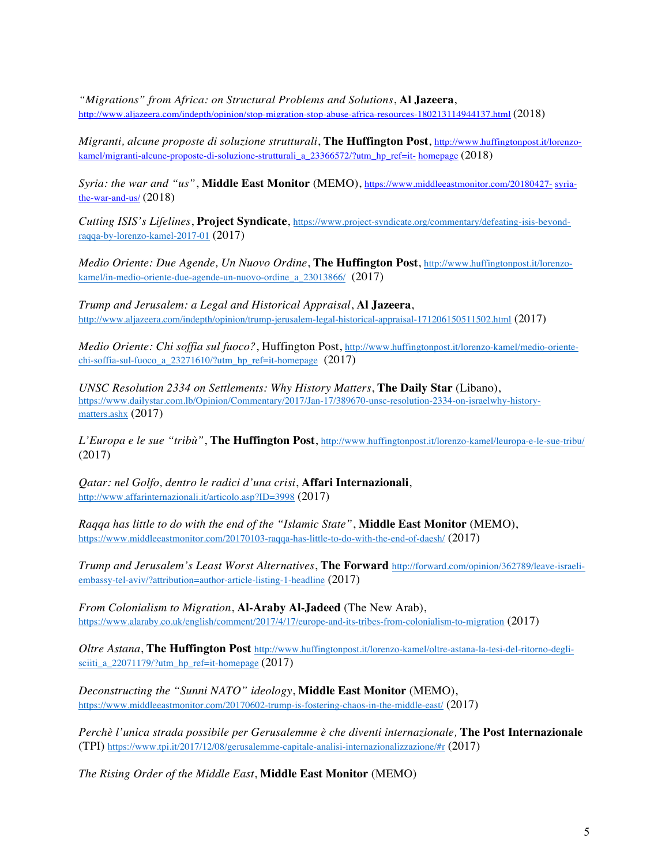*"Migrations" from Africa: on Structural Problems and Solutions*, **Al Jazeera**, http://www.aljazeera.com/indepth/opinion/stop-migration-stop-abuse-africa-resources-180213114944137.html (2018)

*Migranti, alcune proposte di soluzione strutturali*, **The Huffington Post**, http://www.huffingtonpost.it/lorenzokamel/migranti-alcune-proposte-di-soluzione-strutturali\_a\_23366572/?utm\_hp\_ref=it- homepage (2018)

*Syria: the war and "us"*, **Middle East Monitor** (MEMO), https://www.middleeastmonitor.com/20180427- syriathe-war-and-us/ (2018)

*Cutting ISIS's Lifelines*, **Project Syndicate**, https://www.project-syndicate.org/commentary/defeating-isis-beyondraqqa-by-lorenzo-kamel-2017-01 (2017)

*Medio Oriente: Due Agende, Un Nuovo Ordine*, **The Huffington Post**, http://www.huffingtonpost.it/lorenzokamel/in-medio-oriente-due-agende-un-nuovo-ordine\_a\_23013866/ (2017)

*Trump and Jerusalem: a Legal and Historical Appraisal*, **Al Jazeera**, http://www.aljazeera.com/indepth/opinion/trump-jerusalem-legal-historical-appraisal-171206150511502.html (2017)

*Medio Oriente: Chi soffia sul fuoco?*, Huffington Post, http://www.huffingtonpost.it/lorenzo-kamel/medio-orientechi-soffia-sul-fuoco\_a\_23271610/?utm\_hp\_ref=it-homepage  $(2017)$ 

*UNSC Resolution 2334 on Settlements: Why History Matters*, **The Daily Star** (Libano), https://www.dailystar.com.lb/Opinion/Commentary/2017/Jan-17/389670-unsc-resolution-2334-on-israelwhy-historymatters.ashx (2017)

*L'Europa e le sue "tribù"*, **The Huffington Post**, http://www.huffingtonpost.it/lorenzo-kamel/leuropa-e-le-sue-tribu/ (2017)

*Qatar: nel Golfo, dentro le radici d'una crisi*, **Affari Internazionali**, http://www.affarinternazionali.it/articolo.asp?ID=3998 (2017)

*Raqqa has little to do with the end of the "Islamic State"*, **Middle East Monitor** (MEMO), https://www.middleeastmonitor.com/20170103-raqqa-has-little-to-do-with-the-end-of-daesh/ (2017)

*Trump and Jerusalem's Least Worst Alternatives*, **The Forward** http://forward.com/opinion/362789/leave-israeliembassy-tel-aviv/?attribution=author-article-listing-1-headline (2017)

*From Colonialism to Migration*, **Al-Araby Al-Jadeed** (The New Arab), https://www.alaraby.co.uk/english/comment/2017/4/17/europe-and-its-tribes-from-colonialism-to-migration (2017)

*Oltre Astana*, **The Huffington Post** http://www.huffingtonpost.it/lorenzo-kamel/oltre-astana-la-tesi-del-ritorno-deglisciiti\_a\_22071179/?utm\_hp\_ref=it-homepage  $(2017)$ 

*Deconstructing the "Sunni NATO" ideology*, **Middle East Monitor** (MEMO), https://www.middleeastmonitor.com/20170602-trump-is-fostering-chaos-in-the-middle-east/ (2017)

*Perchè l'unica strada possibile per Gerusalemme è che diventi internazionale,* **The Post Internazionale** (TPI) https://www.tpi.it/2017/12/08/gerusalemme-capitale-analisi-internazionalizzazione/#r (2017)

*The Rising Order of the Middle East*, **Middle East Monitor** (MEMO)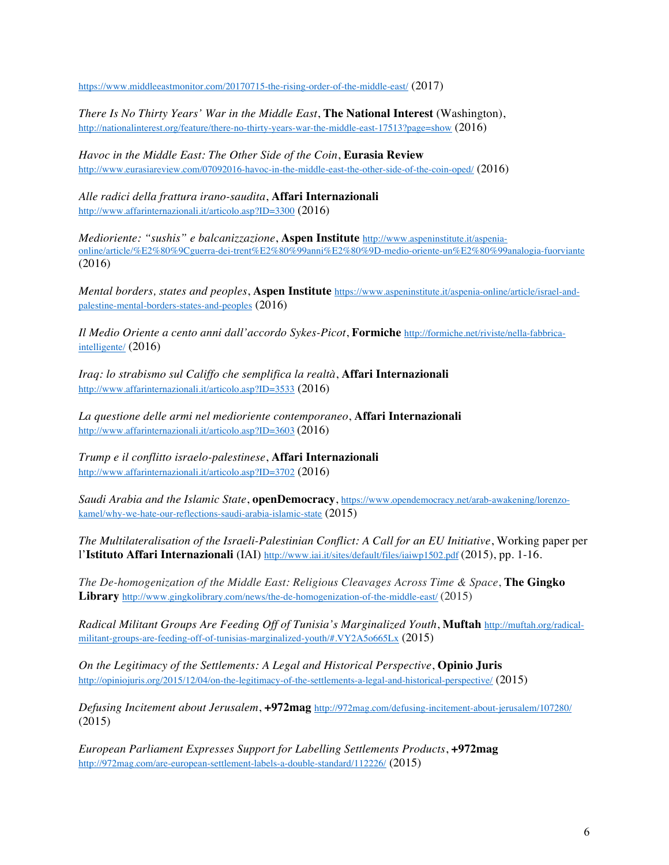https://www.middleeastmonitor.com/20170715-the-rising-order-of-the-middle-east/ (2017)

*There Is No Thirty Years' War in the Middle East*, **The National Interest** (Washington), http://nationalinterest.org/feature/there-no-thirty-years-war-the-middle-east-17513?page=show (2016)

*Havoc in the Middle East: The Other Side of the Coin*, **Eurasia Review** http://www.eurasiareview.com/07092016-havoc-in-the-middle-east-the-other-side-of-the-coin-oped/ (2016)

*Alle radici della frattura irano-saudita*, **Affari Internazionali** http://www.affarinternazionali.it/articolo.asp?ID=3300 (2016)

*Medioriente: "sushis" e balcanizzazione*, **Aspen Institute** http://www.aspeninstitute.it/aspeniaonline/article/%E2%80%9Cguerra-dei-trent%E2%80%99anni%E2%80%9D-medio-oriente-un%E2%80%99analogia-fuorviante (2016)

*Mental borders, states and peoples*, **Aspen Institute** https://www.aspeninstitute.it/aspenia-online/article/israel-andpalestine-mental-borders-states-and-peoples (2016)

*Il Medio Oriente a cento anni dall'accordo Sykes-Picot*, **Formiche** http://formiche.net/riviste/nella-fabbricaintelligente/ (2016)

*Iraq: lo strabismo sul Califfo che semplifica la realtà*, **Affari Internazionali** http://www.affarinternazionali.it/articolo.asp?ID=3533 (2016)

*La questione delle armi nel medioriente contemporaneo*, **Affari Internazionali** http://www.affarinternazionali.it/articolo.asp?ID=3603 (2016)

*Trump e il conflitto israelo-palestinese*, **Affari Internazionali** http://www.affarinternazionali.it/articolo.asp?ID=3702 (2016)

*Saudi Arabia and the Islamic State*, **openDemocracy**, https://www.opendemocracy.net/arab-awakening/lorenzokamel/why-we-hate-our-reflections-saudi-arabia-islamic-state (2015)

*The Multilateralisation of the Israeli-Palestinian Conflict: A Call for an EU Initiative*, Working paper per l'**Istituto Affari Internazionali** (IAI) http://www.iai.it/sites/default/files/iaiwp1502.pdf (2015), pp. 1-16.

*The De-homogenization of the Middle East: Religious Cleavages Across Time & Space*, **The Gingko Library** http://www.gingkolibrary.com/news/the-de-homogenization-of-the-middle-east/ (2015)

*Radical Militant Groups Are Feeding Off of Tunisia's Marginalized Youth*, **Muftah** http://muftah.org/radicalmilitant-groups-are-feeding-off-of-tunisias-marginalized-youth/#.VY2A5o665Lx (2015)

*On the Legitimacy of the Settlements: A Legal and Historical Perspective*, **Opinio Juris** http://opiniojuris.org/2015/12/04/on-the-legitimacy-of-the-settlements-a-legal-and-historical-perspective/ (2015)

*Defusing Incitement about Jerusalem*, **+972mag** http://972mag.com/defusing-incitement-about-jerusalem/107280/ (2015)

*European Parliament Expresses Support for Labelling Settlements Products*, **+972mag** http://972mag.com/are-european-settlement-labels-a-double-standard/112226/ (2015)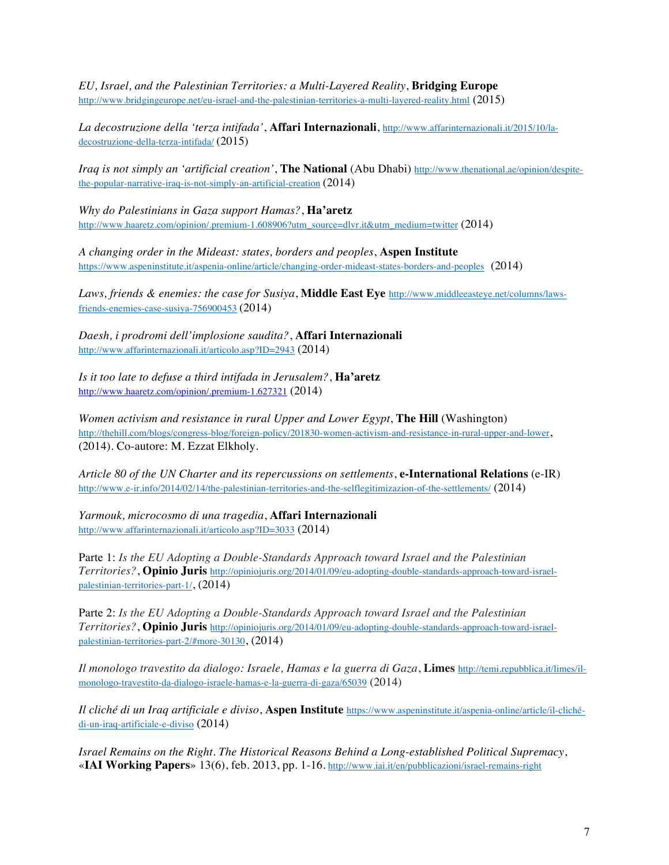*EU, Israel, and the Palestinian Territories: a Multi-Layered Reality*, **Bridging Europe** http://www.bridgingeurope.net/eu-israel-and-the-palestinian-territories-a-multi-layered-reality.html (2015)

*La decostruzione della 'terza intifada'*, **Affari Internazionali**, http://www.affarinternazionali.it/2015/10/ladecostruzione-della-terza-intifada/ (2015)

*Iraq is not simply an 'artificial creation'*, **The National** (Abu Dhabi) http://www.thenational.ae/opinion/despitethe-popular-narrative-iraq-is-not-simply-an-artificial-creation (2014)

*Why do Palestinians in Gaza support Hamas?*, **Ha'aretz** http://www.haaretz.com/opinion/.premium-1.608906?utm\_source=dlvr.it&utm\_medium=twitter (2014)

*A changing order in the Mideast: states, borders and peoples*, **Aspen Institute** https://www.aspeninstitute.it/aspenia-online/article/changing-order-mideast-states-borders-and-peoples (2014)

*Laws, friends & enemies: the case for Susiya*, **Middle East Eye** http://www.middleeasteye.net/columns/lawsfriends-enemies-case-susiya-756900453 (2014)

*Daesh, i prodromi dell'implosione saudita?*, **Affari Internazionali** http://www.affarinternazionali.it/articolo.asp?ID=2943 (2014)

*Is it too late to defuse a third intifada in Jerusalem?*, **Ha'aretz** http://www.haaretz.com/opinion/.premium-1.627321 (2014)

*Women activism and resistance in rural Upper and Lower Egypt*, **The Hill** (Washington) http://thehill.com/blogs/congress-blog/foreign-policy/201830-women-activism-and-resistance-in-rural-upper-and-lower, (2014). Co-autore: M. Ezzat Elkholy.

*Article 80 of the UN Charter and its repercussions on settlements*, **e-International Relations** (e-IR) http://www.e-ir.info/2014/02/14/the-palestinian-territories-and-the-selflegitimizazion-of-the-settlements/ (2014)

*Yarmouk, microcosmo di una tragedia*, **Affari Internazionali** http://www.affarinternazionali.it/articolo.asp?ID=3033 (2014)

Parte 1: *Is the EU Adopting a Double-Standards Approach toward Israel and the Palestinian Territories?*, **Opinio Juris** http://opiniojuris.org/2014/01/09/eu-adopting-double-standards-approach-toward-israelpalestinian-territories-part-1/, (2014)

Parte 2: *Is the EU Adopting a Double-Standards Approach toward Israel and the Palestinian Territories?*, **Opinio Juris** http://opiniojuris.org/2014/01/09/eu-adopting-double-standards-approach-toward-israelpalestinian-territories-part-2/#more-30130, (2014)

*Il monologo travestito da dialogo: Israele, Hamas e la guerra di Gaza*, **Limes** http://temi.repubblica.it/limes/ilmonologo-travestito-da-dialogo-israele-hamas-e-la-guerra-di-gaza/65039 (2014)

*Il cliché di un Iraq artificiale e diviso*, **Aspen Institute** https://www.aspeninstitute.it/aspenia-online/article/il-clichédi-un-iraq-artificiale-e-diviso (2014)

*Israel Remains on the Right. The Historical Reasons Behind a Long-established Political Supremacy*, «**IAI Working Papers**» 13(6), feb. 2013, pp. 1-16. http://www.iai.it/en/pubblicazioni/israel-remains-right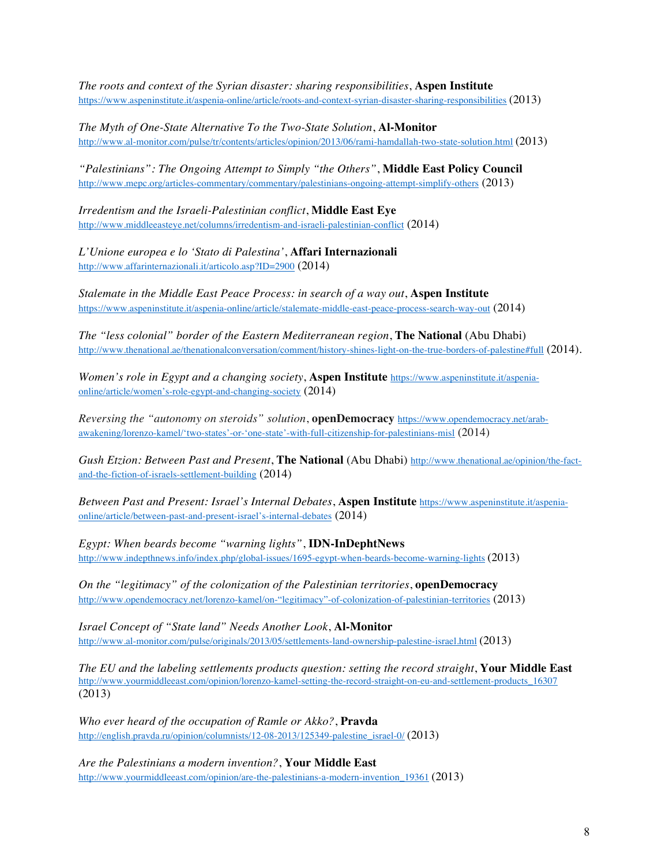*The roots and context of the Syrian disaster: sharing responsibilities*, **Aspen Institute** https://www.aspeninstitute.it/aspenia-online/article/roots-and-context-syrian-disaster-sharing-responsibilities (2013)

*The Myth of One-State Alternative To the Two-State Solution*, **Al-Monitor** http://www.al-monitor.com/pulse/tr/contents/articles/opinion/2013/06/rami-hamdallah-two-state-solution.html (2013)

*"Palestinians": The Ongoing Attempt to Simply "the Others"*, **Middle East Policy Council** http://www.mepc.org/articles-commentary/commentary/palestinians-ongoing-attempt-simplify-others (2013)

*Irredentism and the Israeli-Palestinian conflict*, **Middle East Eye** http://www.middleeasteye.net/columns/irredentism-and-israeli-palestinian-conflict (2014)

*L'Unione europea e lo 'Stato di Palestina'*, **Affari Internazionali** http://www.affarinternazionali.it/articolo.asp?ID=2900 (2014)

*Stalemate in the Middle East Peace Process: in search of a way out*, **Aspen Institute** https://www.aspeninstitute.it/aspenia-online/article/stalemate-middle-east-peace-process-search-way-out (2014)

*The "less colonial" border of the Eastern Mediterranean region*, **The National** (Abu Dhabi) http://www.thenational.ae/thenationalconversation/comment/history-shines-light-on-the-true-borders-of-palestine#full (2014).

*Women's role in Egypt and a changing society*, **Aspen Institute** https://www.aspeninstitute.it/aspeniaonline/article/women's-role-egypt-and-changing-society (2014)

*Reversing the "autonomy on steroids" solution*, **openDemocracy** https://www.opendemocracy.net/arabawakening/lorenzo-kamel/'two-states'-or-'one-state'-with-full-citizenship-for-palestinians-misl (2014)

*Gush Etzion: Between Past and Present*, **The National** (Abu Dhabi) http://www.thenational.ae/opinion/the-factand-the-fiction-of-israels-settlement-building (2014)

*Between Past and Present: Israel's Internal Debates*, **Aspen Institute** https://www.aspeninstitute.it/aspeniaonline/article/between-past-and-present-israel's-internal-debates (2014)

*Egypt: When beards become "warning lights"*, **IDN-InDephtNews** http://www.indepthnews.info/index.php/global-issues/1695-egypt-when-beards-become-warning-lights (2013)

*On the "legitimacy" of the colonization of the Palestinian territories*, **openDemocracy** http://www.opendemocracy.net/lorenzo-kamel/on-"legitimacy"-of-colonization-of-palestinian-territories (2013)

*Israel Concept of "State land" Needs Another Look*, **Al-Monitor** http://www.al-monitor.com/pulse/originals/2013/05/settlements-land-ownership-palestine-israel.html (2013)

*The EU and the labeling settlements products question: setting the record straight*, **Your Middle East** http://www.yourmiddleeast.com/opinion/lorenzo-kamel-setting-the-record-straight-on-eu-and-settlement-products\_16307 (2013)

*Who ever heard of the occupation of Ramle or Akko?*, **Pravda** http://english.pravda.ru/opinion/columnists/12-08-2013/125349-palestine\_israel-0/ (2013)

*Are the Palestinians a modern invention?*, **Your Middle East** http://www.yourmiddleeast.com/opinion/are-the-palestinians-a-modern-invention\_19361 (2013)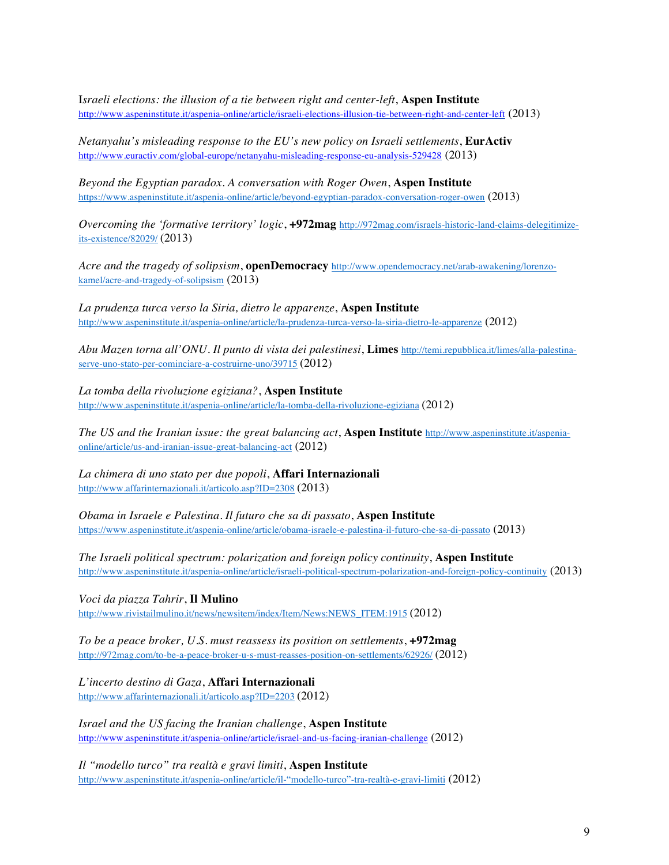I*sraeli elections: the illusion of a tie between right and center-left*, **Aspen Institute** http://www.aspeninstitute.it/aspenia-online/article/israeli-elections-illusion-tie-between-right-and-center-left (2013)

*Netanyahu's misleading response to the EU's new policy on Israeli settlements*, **EurActiv** http://www.euractiv.com/global-europe/netanyahu-misleading-response-eu-analysis-529428 (2013)

*Beyond the Egyptian paradox. A conversation with Roger Owen*, **Aspen Institute** https://www.aspeninstitute.it/aspenia-online/article/beyond-egyptian-paradox-conversation-roger-owen (2013)

*Overcoming the 'formative territory' logic*, **+972mag** http://972mag.com/israels-historic-land-claims-delegitimizeits-existence/82029/ (2013)

*Acre and the tragedy of solipsism*, **openDemocracy** http://www.opendemocracy.net/arab-awakening/lorenzokamel/acre-and-tragedy-of-solipsism (2013)

*La prudenza turca verso la Siria, dietro le apparenze*, **Aspen Institute** http://www.aspeninstitute.it/aspenia-online/article/la-prudenza-turca-verso-la-siria-dietro-le-apparenze (2012)

*Abu Mazen torna all'ONU. Il punto di vista dei palestinesi*, **Limes** http://temi.repubblica.it/limes/alla-palestinaserve-uno-stato-per-cominciare-a-costruirne-uno/39715 (2012)

*La tomba della rivoluzione egiziana?*, **Aspen Institute** http://www.aspeninstitute.it/aspenia-online/article/la-tomba-della-rivoluzione-egiziana (2012)

*The US and the Iranian issue: the great balancing act*, **Aspen Institute** http://www.aspeninstitute.it/aspeniaonline/article/us-and-iranian-issue-great-balancing-act (2012)

*La chimera di uno stato per due popoli*, **Affari Internazionali** http://www.affarinternazionali.it/articolo.asp?ID=2308 (2013)

*Obama in Israele e Palestina. Il futuro che sa di passato*, **Aspen Institute** https://www.aspeninstitute.it/aspenia-online/article/obama-israele-e-palestina-il-futuro-che-sa-di-passato (2013)

*The Israeli political spectrum: polarization and foreign policy continuity*, **Aspen Institute** http://www.aspeninstitute.it/aspenia-online/article/israeli-political-spectrum-polarization-and-foreign-policy-continuity (2013)

*Voci da piazza Tahrir*, **Il Mulino** http://www.rivistailmulino.it/news/newsitem/index/Item/News:NEWS\_ITEM:1915 (2012)

*To be a peace broker, U.S. must reassess its position on settlements*, **+972mag** http://972mag.com/to-be-a-peace-broker-u-s-must-reasses-position-on-settlements/62926/ (2012)

*L'incerto destino di Gaza*, **Affari Internazionali** http://www.affarinternazionali.it/articolo.asp?ID=2203 (2012)

*Israel and the US facing the Iranian challenge*, **Aspen Institute** http://www.aspeninstitute.it/aspenia-online/article/israel-and-us-facing-iranian-challenge (2012)

*Il "modello turco" tra realtà e gravi limiti*, **Aspen Institute** http://www.aspeninstitute.it/aspenia-online/article/il-"modello-turco"-tra-realtà-e-gravi-limiti (2012)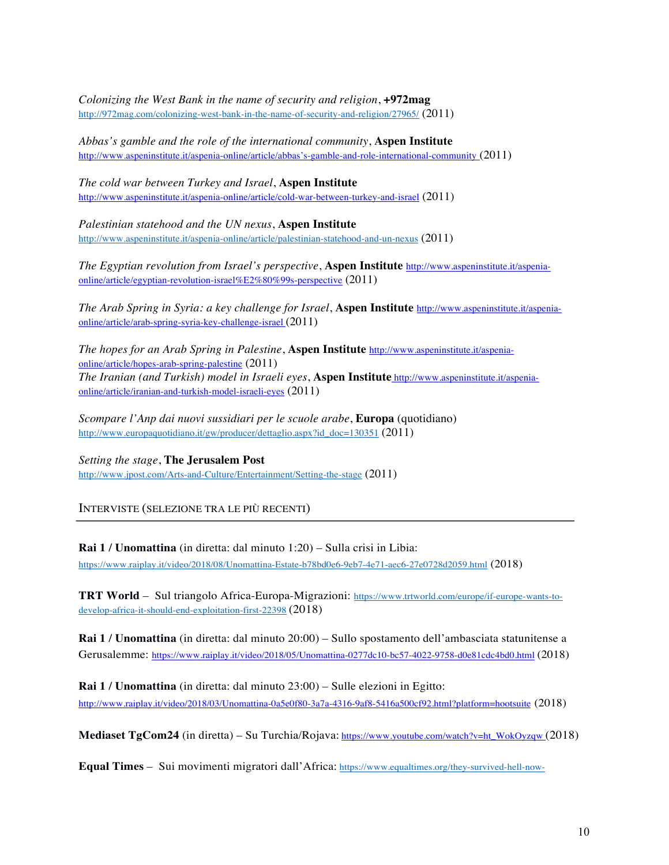*Colonizing the West Bank in the name of security and religion*, **+972mag** http://972mag.com/colonizing-west-bank-in-the-name-of-security-and-religion/27965/ (2011)

*Abbas's gamble and the role of the international community*, **Aspen Institute** http://www.aspeninstitute.it/aspenia-online/article/abbas's-gamble-and-role-international-community (2011)

*The cold war between Turkey and Israel*, **Aspen Institute** http://www.aspeninstitute.it/aspenia-online/article/cold-war-between-turkey-and-israel (2011)

*Palestinian statehood and the UN nexus*, **Aspen Institute** http://www.aspeninstitute.it/aspenia-online/article/palestinian-statehood-and-un-nexus (2011)

*The Egyptian revolution from Israel's perspective*, **Aspen Institute** http://www.aspeninstitute.it/aspeniaonline/article/egyptian-revolution-israel%E2%80%99s-perspective (2011)

*The Arab Spring in Syria: a key challenge for Israel*, **Aspen Institute** http://www.aspeninstitute.it/aspeniaonline/article/arab-spring-syria-key-challenge-israel (2011)

*The hopes for an Arab Spring in Palestine*, **Aspen Institute** http://www.aspeninstitute.it/aspeniaonline/article/hopes-arab-spring-palestine (2011) *The Iranian (and Turkish) model in Israeli eyes*, **Aspen Institute** http://www.aspeninstitute.it/aspeniaonline/article/iranian-and-turkish-model-israeli-eyes (2011)

*Scompare l'Anp dai nuovi sussidiari per le scuole arabe*, **Europa** (quotidiano) http://www.europaquotidiano.it/gw/producer/dettaglio.aspx?id\_doc=130351 (2011)

*Setting the stage*, **The Jerusalem Post** http://www.jpost.com/Arts-and-Culture/Entertainment/Setting-the-stage (2011)

INTERVISTE (SELEZIONE TRA LE PIÙ RECENTI)

**Rai 1 / Unomattina** (in diretta: dal minuto 1:20) – Sulla crisi in Libia: https://www.raiplay.it/video/2018/08/Unomattina-Estate-b78bd0e6-9eb7-4e71-aec6-27e0728d2059.html (2018)

**TRT World** – Sul triangolo Africa-Europa-Migrazioni: https://www.trtworld.com/europe/if-europe-wants-todevelop-africa-it-should-end-exploitation-first-22398 (2018)

**Rai 1 / Unomattina** (in diretta: dal minuto 20:00) – Sullo spostamento dell'ambasciata statunitense a Gerusalemme: https://www.raiplay.it/video/2018/05/Unomattina-0277dc10-bc57-4022-9758-d0e81cdc4bd0.html (2018)

**Rai 1 / Unomattina** (in diretta: dal minuto 23:00) – Sulle elezioni in Egitto: http://www.raiplay.it/video/2018/03/Unomattina-0a5e0f80-3a7a-4316-9af8-5416a500cf92.html?platform=hootsuite (2018)

**Mediaset TgCom24** (in diretta) – Su Turchia/Rojava: https://www.youtube.com/watch?v=ht\_WokOyzqw (2018)

**Equal Times** – Sui movimenti migratori dall'Africa: https://www.equaltimes.org/they-survived-hell-now-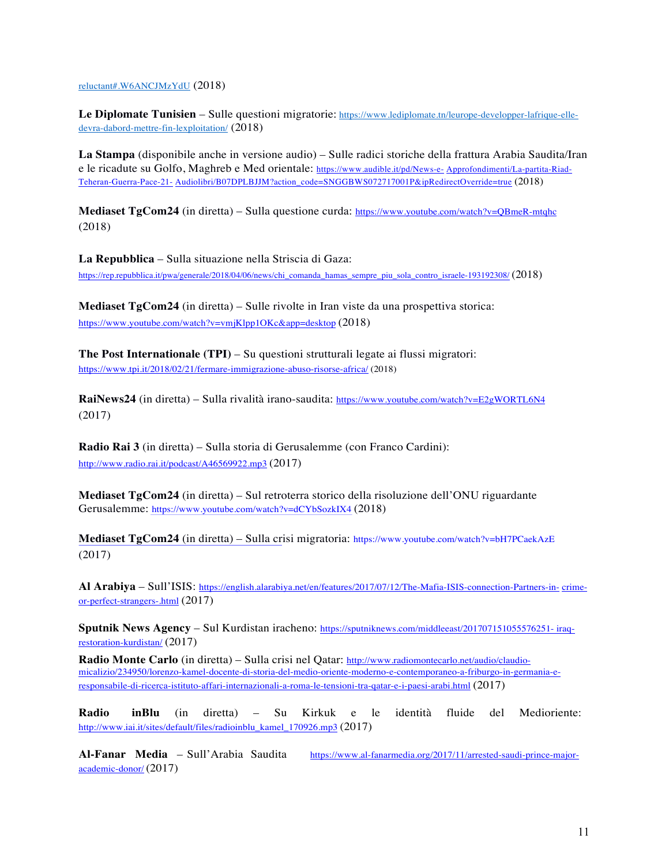reluctant#.W6ANCJMzYdU (2018)

Le Diplomate Tunisien – Sulle questioni migratorie: https://www.lediplomate.tn/leurope-developper-lafrique-elledevra-dabord-mettre-fin-lexploitation/ (2018)

**La Stampa** (disponibile anche in versione audio) – Sulle radici storiche della frattura Arabia Saudita/Iran e le ricadute su Golfo, Maghreb e Med orientale: https://www.audible.it/pd/News-e- Approfondimenti/La-partita-Riad-Teheran-Guerra-Pace-21- Audiolibri/B07DPLBJJM?action\_code=SNGGBWS072717001P&ipRedirectOverride=true (2018)

**Mediaset TgCom24** (in diretta) – Sulla questione curda: https://www.youtube.com/watch?v=QBmeR-mtqhc (2018)

**La Repubblica** – Sulla situazione nella Striscia di Gaza: https://rep.repubblica.it/pwa/generale/2018/04/06/news/chi\_comanda\_hamas\_sempre\_piu\_sola\_contro\_israele-193192308/ (2018)

**Mediaset TgCom24** (in diretta) – Sulle rivolte in Iran viste da una prospettiva storica: https://www.youtube.com/watch?v=vmjKlpp1OKc&app=desktop (2018)

**The Post Internationale (TPI)** – Su questioni strutturali legate ai flussi migratori: https://www.tpi.it/2018/02/21/fermare-immigrazione-abuso-risorse-africa/ (2018)

**RaiNews24** (in diretta) – Sulla rivalità irano-saudita: https://www.youtube.com/watch?v=E2gWORTL6N4 (2017)

**Radio Rai 3** (in diretta) – Sulla storia di Gerusalemme (con Franco Cardini): http://www.radio.rai.it/podcast/A46569922.mp3 (2017)

**Mediaset TgCom24** (in diretta) – Sul retroterra storico della risoluzione dell'ONU riguardante Gerusalemme: https://www.youtube.com/watch?v=dCYbSozkIX4 (2018)

**Mediaset TgCom24** (in diretta) – Sulla crisi migratoria: https://www.youtube.com/watch?v=bH7PCaekAzE (2017)

**Al Arabiya** – Sull'ISIS: https://english.alarabiya.net/en/features/2017/07/12/The-Mafia-ISIS-connection-Partners-in- crimeor-perfect-strangers-.html (2017)

**Sputnik News Agency** – Sul Kurdistan iracheno: https://sputniknews.com/middleeast/201707151055576251- iraqrestoration-kurdistan/ (2017)

**Radio Monte Carlo** (in diretta) – Sulla crisi nel Qatar: http://www.radiomontecarlo.net/audio/claudiomicalizio/234950/lorenzo-kamel-docente-di-storia-del-medio-oriente-moderno-e-contemporaneo-a-friburgo-in-germania-eresponsabile-di-ricerca-istituto-affari-internazionali-a-roma-le-tensioni-tra-qatar-e-i-paesi-arabi.html (2017)

**Radio inBlu** (in diretta) – Su Kirkuk e le identità fluide del Medioriente: http://www.iai.it/sites/default/files/radioinblu\_kamel\_170926.mp3 (2017)

**Al-Fanar Media** – Sull'Arabia Saudita https://www.al-fanarmedia.org/2017/11/arrested-saudi-prince-majoracademic-donor/ (2017)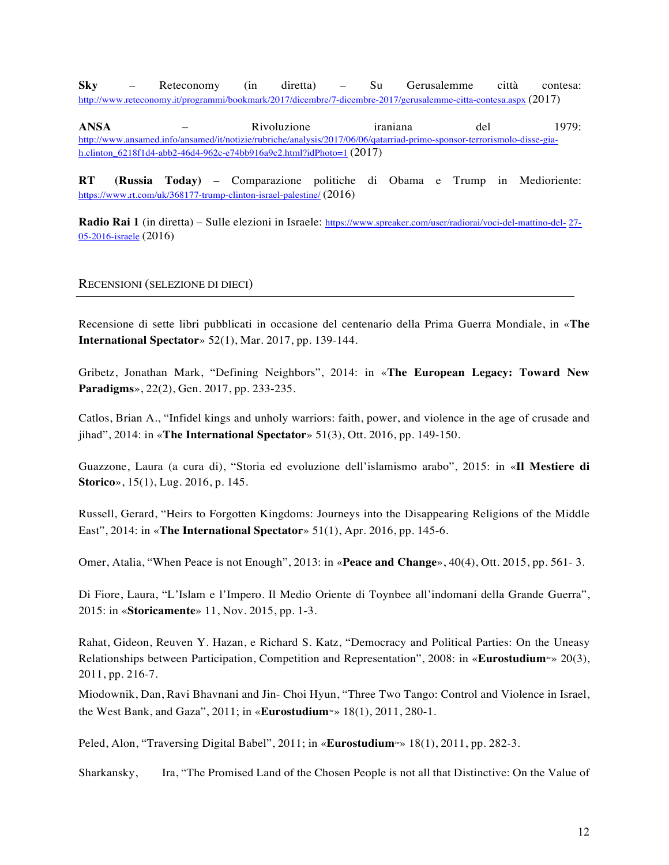**Sky** – Reteconomy (in diretta) – Su Gerusalemme città contesa: http://www.reteconomy.it/programmi/bookmark/2017/dicembre/7-dicembre-2017/gerusalemme-citta-contesa.aspx (2017)

**ANSA** – Rivoluzione iraniana del 1979: http://www.ansamed.info/ansamed/it/notizie/rubriche/analysis/2017/06/06/qatarriad-primo-sponsor-terrorismolo-disse-giah.clinton\_6218f1d4-abb2-46d4-962c-e74bb916a9c2.html?idPhoto=1 (2017)

**RT (Russia Today)** – Comparazione politiche di Obama e Trump in Medioriente: https://www.rt.com/uk/368177-trump-clinton-israel-palestine/ (2016)

**Radio Rai 1** (in diretta) – Sulle elezioni in Israele: https://www.spreaker.com/user/radiorai/voci-del-mattino-del- 27- 05-2016-israele (2016)

## RECENSIONI (SELEZIONE DI DIECI)

Recensione di sette libri pubblicati in occasione del centenario della Prima Guerra Mondiale, in «**The International Spectator**» 52(1), Mar. 2017, pp. 139-144.

Gribetz, Jonathan Mark, "Defining Neighbors", 2014: in «**The European Legacy: Toward New Paradigms**», 22(2), Gen. 2017, pp. 233-235.

Catlos, Brian A., "Infidel kings and unholy warriors: faith, power, and violence in the age of crusade and jihad", 2014: in «**The International Spectator**» 51(3), Ott. 2016, pp. 149-150.

Guazzone, Laura (a cura di), "Storia ed evoluzione dell'islamismo arabo", 2015: in «**Il Mestiere di Storico**», 15(1), Lug. 2016, p. 145.

Russell, Gerard, "Heirs to Forgotten Kingdoms: Journeys into the Disappearing Religions of the Middle East", 2014: in «**The International Spectator**» 51(1), Apr. 2016, pp. 145-6.

Omer, Atalia, "When Peace is not Enough", 2013: in «**Peace and Change**», 40(4), Ott. 2015, pp. 561- 3.

Di Fiore, Laura, "L'Islam e l'Impero. Il Medio Oriente di Toynbee all'indomani della Grande Guerra", 2015: in «**Storicamente**» 11, Nov. 2015, pp. 1-3.

Rahat, Gideon, Reuven Y. Hazan, e Richard S. Katz, "Democracy and Political Parties: On the Uneasy Relationships between Participation, Competition and Representation", 2008: in «**Eurostudium**» 20(3), 2011, pp. 216-7.

Miodownik, Dan, Ravi Bhavnani and Jin- Choi Hyun, "Three Two Tango: Control and Violence in Israel, the West Bank, and Gaza", 2011; in «**Eurostudium**» 18(1), 2011, 280-1.

Peled, Alon, "Traversing Digital Babel", 2011; in «**Eurostudium**» 18(1), 2011, pp. 282-3.

Sharkansky, Ira, "The Promised Land of the Chosen People is not all that Distinctive: On the Value of